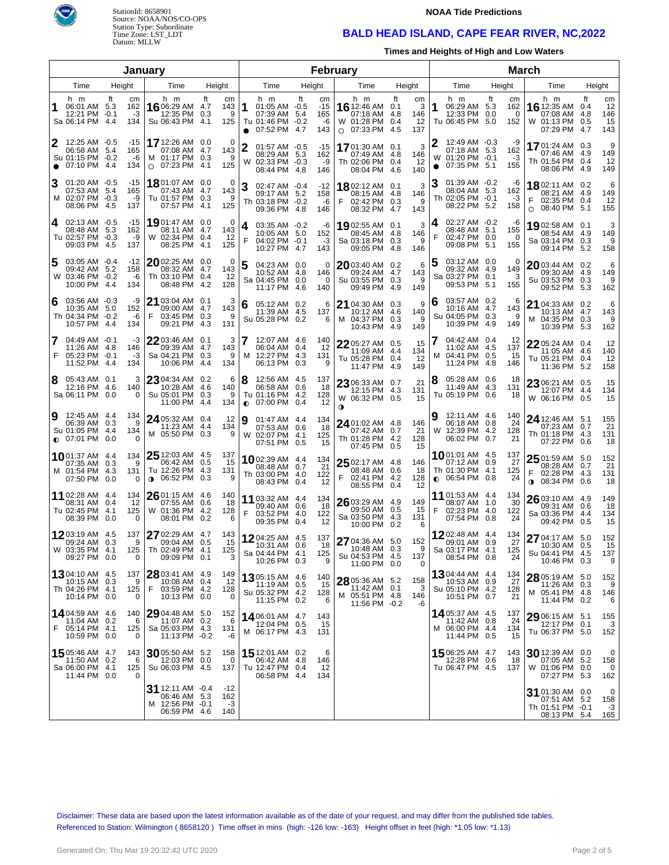

# StationId: 8658901 Source: NOAA/NOS/CO-OPS Station Type: Subordinate Time Zone: LST\_LDT Datum: MLLW

#### **NOAA Tide Predictions**

## **BALD HEAD ISLAND, CAPE FEAR RIVER, NC,2022**

**Times and Heights of High and Low Waters**

|                |                                                                           |      |                              | January                                                                    |                                                |        |                                                                                            |        |                                 | February                                                             |                                                        |                |                                                                                     |        |                              | <b>March</b>                                                                  |                         |                              |
|----------------|---------------------------------------------------------------------------|------|------------------------------|----------------------------------------------------------------------------|------------------------------------------------|--------|--------------------------------------------------------------------------------------------|--------|---------------------------------|----------------------------------------------------------------------|--------------------------------------------------------|----------------|-------------------------------------------------------------------------------------|--------|------------------------------|-------------------------------------------------------------------------------|-------------------------|------------------------------|
| Time<br>Height |                                                                           |      |                              | Time                                                                       | Height                                         |        | Time                                                                                       | Height |                                 | Time                                                                 | Height                                                 |                | Time                                                                                | Height |                              | Time                                                                          | Height                  |                              |
|                | h m<br>06:01 AM 5.3<br>12:21 PM -0.1<br>Sa 06:14 PM 4.4                   | ft   | cm<br>162<br>-3<br>134       | h m<br>16 06:29 AM 4.7<br>12:35 PM<br>Su 06:43 PM                          | ft<br>cm<br>143<br>0.3<br>125<br>4.1           | 9      | h m<br>1<br>01:05 AM -0.5<br>07:39 AM 5.4<br>Tu 01:46 PM -0.2<br>07:52 PM 4.7<br>$\bullet$ | ft     | cm<br>$-15$<br>165<br>-6<br>143 | h m<br>16 12:46 AM 0.1<br>07:18 AM<br>W 01:28 PM<br>$\circ$ 07:33 PM | ft<br>cm<br>3<br>4.8<br>146<br>0.4<br>12<br>4.5<br>137 | 1              | h m<br>06:29 AM 5.3<br>12:33 PM 0.0<br>Tu 06:45 PM 5.0                              | ft     | cm<br>162<br>0<br>152        | h m<br>16 12:35 AM<br>07:08 AM<br>W 01:13 PM<br>07:29 PM 4.7                  | ft<br>0.4<br>4.8<br>0.5 | cm<br>12<br>146<br>15<br>143 |
| 2<br>$\bullet$ | 12:25 AM -0.5<br>06:58 AM 5.4<br>Su 01:15 PM -0.2<br>07:10 PM             | -4.4 | -15<br>165<br>-6<br>134      | <b>17</b> 12:26 AM<br>07:08 AM<br>M 01:17 PM<br>07:23 PM<br>$\circ$        | 0.0<br>4.7<br>143<br>0.3<br>125<br>4.1         | 0<br>9 | 01:57 AM -0.5<br>08:29 AM 5.3<br>02:33 PM -0.3<br>W<br>08:44 PM 4.8                        |        | -15<br>162<br>-9<br>146         | 1701:30 AM<br>07:49 AM<br>Th 02:06 PM<br>08:04 PM                    | 3<br>0.1<br>4.8<br>146<br>0.4<br>12<br>140<br>4.6      | W<br>$\bullet$ | 12:49 AM -0.3<br>07:18 AM 5.3<br>01:20 PM -0.1<br>07:35 PM 5.1                      |        | -9<br>162<br>-3<br>155       | 1701:24 AM 0.3<br>07:46 AM<br>Th 01:54 PM 0.4<br>08:06 PM 4.9                 | 4.9                     | 9<br>149<br>12<br>149        |
| Ι3             | 01:20 AM -0.5<br>07:53 AM 5.4<br>M 02:07 PM -0.3<br>08:06 PM 4.5          |      | -15<br>165<br>-9<br>137      | 1801:07 AM<br>07:43 AM<br>Tu 01:57 PM<br>07:57 PM                          | 0.0<br>4.7<br>143<br>0.3<br>125<br>4.1         | 0<br>9 | 02:47 AM -0.4<br>09:17 AM 5.2<br>Th 03:18 PM -0.2<br>09:36 PM 4.8                          |        | $-12$<br>158<br>-6<br>146       | 1802:12 AM<br>08:15 AM<br>02:42 PM<br>08:32 PM                       | 3<br>0.1<br>4.8<br>146<br>0.3<br>9<br>4.7<br>143       |                | $01:39$ AM $-0.2$<br>08:04 AM 5.3<br>Th 02:05 PM -0.1<br>08:22 PM 5.2               |        | -6<br>162<br>-3<br>158       | <b>18</b> 02:11 AM 0.2<br>08:21 AM<br>02:35 PM 0.4<br>08:40 PM 5.1<br>$\circ$ | -4.9                    | 6<br>149<br>12<br>155        |
| 14.            | $02:13$ AM $-0.5$<br>08:48 AM 5.3<br>Tu 02:57 PM -0.3<br>09:03 PM 4.5     |      | -15<br>162<br>-9<br>137      | 1901:47 AM<br>08:11 AM<br>W 02:34 PM<br>08:25 PM                           | 0.0<br>4.7<br>143<br>0.4<br>12<br>125<br>4.1   | 0      | 03:35 AM -0.2<br>4<br>10:05 AM 5.0<br>F<br>04:02 PM -0.1<br>10:27 PM 4.7                   |        | -6<br>152<br>-3<br>143          | 1902:55 AM<br>08:45 AM<br>Sa 03:18 PM<br>09:05 PM                    | 3<br>0.1<br>4.8<br>146<br>0.3<br>9<br>4.8<br>146       | 4<br>F         | 02:27 AM -0.2<br>08:48 AM 5.1<br>02:47 PM 0.0<br>09:08 PM                           | 5.1    | -6<br>155<br>$\Omega$<br>155 | 1902:58 AM 0.1<br>08:54 AM 4.9<br>Sa 03:14 PM<br>09:14 PM                     | 0.3<br>5.2              | 3<br>149<br>9<br>158         |
| 15             | $03:05$ AM $-0.4$<br>09:42 AM 5.2<br>W 03:46 PM -0.2<br>10:00 PM 4.4      |      | -12<br>158<br>-6<br>134      | $20$ 02:25 AM<br>08:32 AM<br>Th 03:10 PM<br>08:48 PM                       | 0.0<br>4.7<br>143<br>0.4<br>12<br>4.2<br>128   | 0      | 04:23 AM 0.0<br>10:52 AM 4.8<br>Sa 04:45 PM 0.0<br>11:17 PM 4.6                            |        | 0<br>146<br>$\Omega$<br>140     | $20$ 03:40 AM<br>09:24 AM<br>Su 03:55 PM<br>09:49 PM                 | 6<br>0.2<br>4.7<br>143<br>0.3<br>9<br>4.9<br>149       | 5              | 03:12 AM 0.0<br>09:32 AM 4.9<br>Sa 03:27 PM 0.1<br>09:53 PM                         | 5.1    | 0<br>149<br>3<br>155         | $2003:44$ AM 0.2<br>09:30 AM 4.9<br>Su 03:53 PM<br>09:52 PM                   | 0.3<br>5.3              | 6<br>149<br>9<br>162         |
| 16             | $03:56$ AM $-0.3$<br>10:35 AM 5.0<br>Th 04:34 PM -0.2<br>10:57 PM 4.4     |      | -9<br>152<br>-6<br>134       | 21 03:04 AM<br>09:00 AM<br>03:45 PM<br>F<br>09:21 PM                       | 0.1<br>4.7<br>143<br>0.3<br>131<br>4.3         | 3<br>9 | 6<br>05:12 AM 0.2<br>11:39 AM 4.5<br>Su 05:28 PM 0.2                                       |        | 6<br>137<br>6                   | 21 04:30 AM<br>10:12 AM<br>M 04:37 PM<br>10:43 PM                    | 9<br>0.3<br>4.6<br>140<br>0.3<br>9<br>4.9<br>149       | 6              | 03:57 AM 0.2<br>10:16 AM 4.7<br>Su 04:05 PM 0.3<br>10:39 PM                         | 4.9    | 6<br>143<br>9<br>149         | 21 04:33 AM 0.2<br>10:13 AM 4.7<br>M 04:35 PM<br>10:39 PM                     | 0.3<br>5.3              | 6<br>143<br>9<br>162         |
| 7<br>F         | 04:49 AM -0.1<br>11:26 AM 4.8<br>05:23 PM -0.1<br>11:52 PM 4.4            |      | -3<br>146<br>-3<br>134       | 2203:46 AM<br>09:39 AM<br>Sa 04:21 PM<br>10:06 PM                          | 0.1<br>4.7<br>143<br>0.3<br>4.4<br>134         | 3<br>9 | 7<br>12:07 AM 4.6<br>06:04 AM 0.4<br>12:27 PM 4.3<br>м<br>06:13 PM 0.3                     |        | 140<br>12<br>131<br>9           | 22 05:27 AM<br>11:09 AM<br>Tu 05:28 PM<br>11:47 PM                   | 0.5<br>15<br>4.4<br>134<br>0.4<br>12<br>149<br>4.9     | M              | 04:42 AM 0.4<br>11:02 AM 4.5<br>04:41 PM 0.5<br>11:24 PM                            | -4.8   | 12<br>137<br>15<br>146       | 22 05:24 AM 0.4<br>11:05 AM 4.6<br>Tu 05:21 PM<br>11:36 PM                    | 0.4<br>5.2              | 12<br>140<br>12<br>158       |
| 8              | 05:43 AM 0.1<br>12:16 PM 4.6<br>Sa 06:11 PM 0.0                           |      | 3<br>140<br>$\Omega$         | 2304:34 AM<br>10:28 AM<br>Su 05:01 PM<br>11:00 PM                          | 0.2<br>4.6<br>140<br>0.3<br>4.4<br>134         | 6<br>9 | 8<br>12:56 AM 4.5<br>06:58 AM 0.6<br>Tu 01:16 PM 4.2<br>$O$ 07:00 PM 0.4                   |        | 137<br>18<br>128<br>12          | 23 06:33 AM<br>12:15 PM<br>W 06:32 PM 0.5<br>0                       | 21<br>0.7<br>4.3<br>131<br>15                          | 8              | 05:28 AM 0.6<br>11:49 AM 4.3<br>Tu 05:19 PM 0.6                                     |        | 18<br>131<br>18              | 23 06:21 AM 0.5<br>12:07 PM 4.4<br>W 06:16 PM 0.5                             |                         | 15<br>134<br>15              |
| 9              | 12:45 AM 4.4<br>06:39 AM 0.3<br>Su 01:05 PM 4.4<br>$\bullet$ 07:01 PM 0.0 |      | 134<br>9<br>134<br>$\Omega$  | 24 05:32 AM<br>11:23 AM<br>M 05:50 PM                                      | 0.4<br>12<br>4.4<br>134<br>0.3                 | 9      | 9<br>01:47 AM 4.4<br>07:53 AM 0.6<br>W 02:07 PM 4.1<br>07:51 PM 0.5                        |        | 134<br>18<br>125<br>15          | 24 01:02 AM 4.8<br>07:42 AM<br>Th 01:28 PM<br>07:45 PM               | 146<br>0.7<br>21<br>4.2<br>128<br>0.5<br>15            |                | 12:11 AM 4.6<br>06:18 AM 0.8<br>W<br>12:39 PM 4.2<br>06:02 PM 0.7                   |        | 140<br>24<br>128<br>21       | <b>24</b> 12:46 AM<br>07:23 AM 0.7<br>Th 01:18 PM<br>07:22 PM                 | 5.1<br>4.3<br>0.6       | 155<br>21<br>131<br>18       |
|                | 1001:37 AM 4.4<br>07:35 AM 0.3<br>M 01:54 PM 4.3<br>07:50 PM 0.0          |      | 134<br>9<br>131<br>$\Omega$  | $25$ 12:03 AM<br>06:42 AM<br>Tu 12:26 PM<br>$06:52 \text{ PM}$             | -4.5<br>137<br>0.5<br>15<br>-4.3<br>131<br>0.3 | 9      | <b>10</b> 02:39 AM 4.4<br>08:48 AM 0.7<br>Th 03:00 PM 4.0<br>08:43 PM 0.4                  |        | 134<br>21<br>122<br>12          | $2502:17$ AM 4.8<br>08:48 AM<br>F.<br>02:41 PM<br>08:55 PM           | 146<br>0.6<br>-18<br>4.2<br>128<br>0.4<br>12           |                | <b>10</b> 01:01 AM 4.5<br>07:12 AM 0.9<br>Th 01:30 PM 4.1<br>$\bullet$ 06:54 PM 0.8 |        | 137<br>27<br>125<br>24       | $2501:59$ AM $5.0$<br>08:28 AM 0.7<br>02:28 PM<br>F<br>08:34 PM<br>$\bullet$  | 4.3<br>0.6              | 152<br>21<br>131<br>18       |
|                | 11 02:28 AM 4.4<br>08:31 AM 0.4<br>Tu 02:45 PM 4.1<br>08:39 PM 0.0        |      | 134<br>12<br>125<br>$\Omega$ | $26$ 01:15 AM<br>07:55 AM<br>W 01:36 PM<br>08:01 PM                        | 4.6<br>140<br>0.6<br>18<br>4.2<br>128<br>0.2   | 6      | 11 03:32 AM 4.4<br>09:40 AM 0.6<br>F<br>03:52 PM 4.0<br>09:35 PM 0.4                       |        | 134<br>18<br>122<br>12          | $26$ 03:29 AM 4.9<br>09:50 AM<br>Sa 03:50 PM<br>10:00 PM             | 149<br>0.5<br>-15<br>4.3<br>131<br>0.2<br>6            | F              | 11 01:53 AM 4.4<br>08:07 AM 1.0<br>02:23 PM 4.0<br>07:54 PM 0.8                     |        | 134<br>30<br>122<br>24       | $2603:10$ AM 4.9<br>09:31 AM 0.6<br>Sa 03:36 PM<br>09:42 PM 0.5               | 4.4                     | 149<br>18<br>134<br>15       |
|                | 12 03:19 AM 4.5<br>09:24 AM 0.3<br>W 03:35 PM 4.1<br>09:27 PM 0.0         |      | 137<br>9<br>125<br>0         | 27 02:29 AM<br>09:04 AM<br>Th 02:49 PM 4.1<br>09:09 PM 0.1                 | 143<br>-4.7<br>0.5<br>15<br>125                | 3      | 1204:25 AM 4.5<br>10:31 AM 0.6<br>Sa 04:44 PM 4.1<br>10:26 PM 0.3                          |        | 137<br>18<br>125<br>9           | 27 04:36 AM 5.0<br>10:48 AM 0.3<br>Su 04:53 PM 4.5<br>11:00 PM 0.0   | 152<br>9<br>137<br>0                                   |                | 1202:48 AM 4.4<br>09:01 AM 0.9<br>Sa 03:17 PM 4.1<br>08:54 PM 0.8                   |        | 134<br>27<br>125<br>24       | 27 04:17 AM 5.0<br>10:30 AM<br>Su 04:41 PM 4.5<br>10:46 PM 0.3                | 0.5                     | 152<br>15<br>137<br>9        |
|                | 1304:10 AM 4.5<br>10:15 AM 0.3<br>Th 04:26 PM 4.1<br>10:14 PM 0.0         |      | 137<br>9<br>125<br>$\Omega$  | 28 03:41 AM 4.9<br>10:08 AM<br>F 03:59 PM<br>10:13 PM                      | 149<br>0.4<br>-12<br>128<br>-4.2<br>0.0        | 0      | 1305:15 AM 4.6<br>11:19 AM 0.5<br>Su 05:32 PM 4.2<br>11:15 PM 0.2                          |        | 140<br>15<br>128<br>6           | 28 05:36 AM 5.2<br>11:42 AM 0.1<br>M 05:51 PM 4.8<br>11:56 PM -0.2   | 158<br>3<br>146<br>-6                                  |                | <b>13</b> 04:44 AM 4.4<br>10:53 AM 0.9<br>Su 05:10 PM 4.2<br>10:51 PM 0.7           |        | 134<br>27<br>128<br>21       | 28 05:19 AM 5.0<br>11:26 AM<br>M 05:41 PM 4.8<br>11:44 PM 0.2                 | 0.3                     | 152<br>9<br>146<br>6         |
| F.             | 14 04:59 AM 4.6<br>11:04 AM 0.2<br>05:14 PM 4.1<br>10:59 PM 0.0           |      | 140<br>6<br>125<br>$\Omega$  | 29 04:48 AM 5.0<br>11:07 AM<br>Sa 05:03 PM<br>11:13 PM -0.2                | 152<br>0.2<br>-4.3<br>131<br>-6                | 6      | 1406:01 AM 4.7<br>12:04 PM 0.5<br>M 06:17 PM 4.3                                           |        | 143<br>15<br>131                |                                                                      |                                                        |                | 1405:37 AM 4.5<br>11:42 AM 0.8<br>M 06:00 PM 4.4<br>11:44 PM 0.5                    |        | 137<br>24<br>134<br>15       | $2906:15$ AM $5.1$<br>12:17 PM 0.1<br>Tu 06:37 PM 5.0                         |                         | 155<br>3<br>152              |
|                | 15 05:46 AM 4.7<br>11:50 AM 0.2<br>Sa 06:00 PM 4.1<br>11:44 PM 0.0        |      | 143<br>6<br>125              | 30 05:50 AM 5.2<br>12:03 PM 0.0<br>Su 06:03 PM 4.5                         | 158<br>137                                     | 0      | 15 12:01 AM 0.2<br>06:42 AM 4.8<br>Tu 12:47 PM 0.4<br>06:58 PM 4.4                         |        | 6<br>146<br>12<br>134           |                                                                      |                                                        |                | 1506:25 AM 4.7<br>12:28 PM 0.6<br>Tu 06:47 PM 4.5                                   |        | 143<br>18<br>137             | <b>30</b> 12:39 AM 0.0<br>07:05 AM<br>W 01:06 PM 0.0<br>07:27 PM 5.3          | 5.2                     | 0<br>158<br>0<br>162         |
|                |                                                                           |      |                              | <b>31</b> 12:11 AM -0.4<br>06:46 AM 5.3<br>M 12:56 PM -0.1<br>06:59 PM 4.6 | $-12$<br>162<br>-3<br>140                      |        |                                                                                            |        |                                 |                                                                      |                                                        |                |                                                                                     |        |                              | 31 01:30 AM 0.0<br>07:51 AM 5.2<br>Th 01:51 PM -0.1<br>08:13 PM 5.4           |                         | 0<br>158<br>-3<br>165        |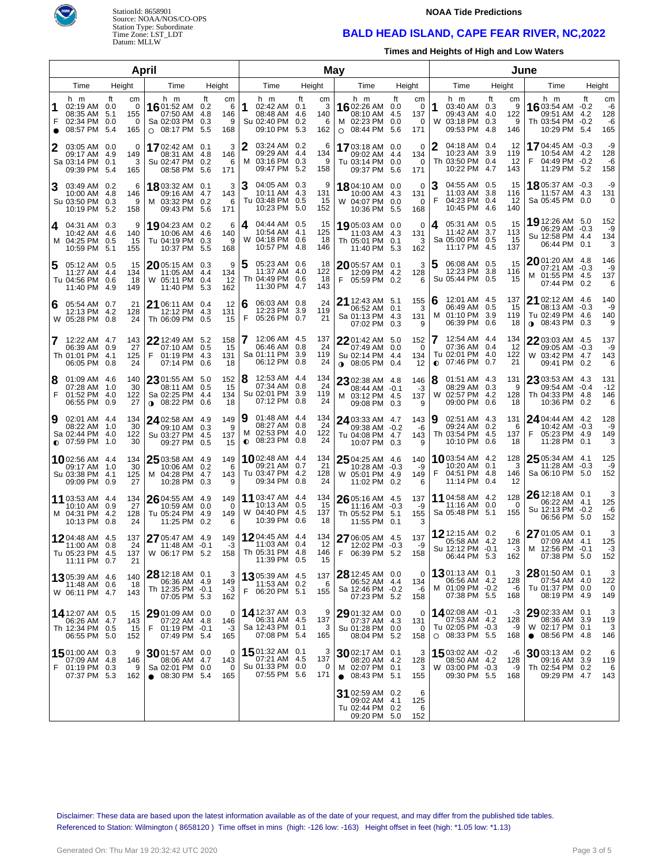



#### **NOAA Tide Predictions**

## **BALD HEAD ISLAND, CAPE FEAR RIVER, NC,2022**

**Times and Heights of High and Low Waters**

|                     |                                                                       |                  | <b>April</b>               |                                                                              |                         |                             |                                                                                          |        | May                         |                                                                              |                                                                     |                                                                               |                                  | June                                                                            |           |                              |  |
|---------------------|-----------------------------------------------------------------------|------------------|----------------------------|------------------------------------------------------------------------------|-------------------------|-----------------------------|------------------------------------------------------------------------------------------|--------|-----------------------------|------------------------------------------------------------------------------|---------------------------------------------------------------------|-------------------------------------------------------------------------------|----------------------------------|---------------------------------------------------------------------------------|-----------|------------------------------|--|
| Time<br>Height      |                                                                       |                  |                            | Time                                                                         | Height                  |                             | Time                                                                                     | Height |                             | Time                                                                         | Height                                                              | Time                                                                          | Height                           | Time                                                                            | Height    |                              |  |
| 1<br>F<br>$\bullet$ | h m<br>02:19 AM 0.0<br>08:35 AM<br>02:34 PM 0.0<br>08:57 PM           | ft<br>5.1<br>5.4 | cm<br>0<br>155<br>0<br>165 | h m<br>16 01:52 AM 0.2<br>07:50 AM<br>Sa 02:03 PM<br>$\circ$ 08:17 PM        | ft<br>4.8<br>0.3<br>5.5 | cm<br>6<br>146<br>9<br>168  | h m<br>1<br>02:42 AM 0.1<br>08:48 AM 4.6<br>Su 02:40 PM 0.2<br>09:10 PM 5.3              | ft     | cm<br>3<br>140<br>6<br>162  | h m<br><b>16</b> 02:26 AM<br>08:10 AM<br>M 02:23 PM<br>$\circ$ 08:44 PM      | ft<br>cm<br>$\Omega$<br>0.0<br>4.5<br>137<br>0.0<br>0<br>5.6<br>171 | h m<br>1<br>03:40 AM 0.3<br>09:43 AM 4.0<br>03:18 PM 0.3<br>W<br>09:53 PM 4.8 | ft<br>cm<br>9<br>122<br>9<br>146 | h m<br><b>16</b> 03:54 AM -0.2<br>09:51 AM<br>Th 03:54 PM -0.2<br>10:29 PM 5.4  | ft<br>4.2 | cm<br>-6<br>128<br>-6<br>165 |  |
|                     | 03:05 AM 0.0<br>09:17 AM 4.9<br>Sa 03:14 PM<br>09:39 PM 5.4           | 0.1              | 0<br>149<br>3<br>165       | 17 02:42 AM 0.1<br>08:31 AM<br>Su 02:47 PM<br>08:58 PM                       | -4.8<br>0.2<br>5.6      | 3<br>146<br>6<br>171        | 12<br>03:24 AM 0.2<br>09:29 AM 4.4<br>M 03:16 PM 0.3<br>09:47 PM 5.2                     |        | 6<br>134<br>9<br>158        | 1703:18 AM<br>09:02 AM<br>Tu 03:14 PM<br>09:37 PM                            | 0<br>0.0<br>4.4<br>134<br>0.0<br>$\Omega$<br>5.6<br>171             | 04:18 AM 0.4<br>2<br>10:23 AM 3.9<br>Th 03:50 PM 0.4<br>10:22 PM 4.7          | 12<br>119<br>12<br>143           | 1704:45 AM -0.3<br>10:54 AM 4.2<br>F<br>04:49 PM -0.2<br>11:29 PM 5.2           |           | -9<br>128<br>-6<br>158       |  |
| 3                   | 03:49 AM 0.2<br>10:00 AM 4.8<br>Su 03:50 PM<br>10:19 PM 5.2           | 0.3              | 6<br>146<br>9<br>158       | 1803:32 AM 0.1<br>09:16 AM<br>M 03:32 PM<br>09:43 PM                         | -4.7<br>0.2<br>5.6      | 3<br>143<br>6<br>171        | З<br>04:05 AM 0.3<br>10:11 AM 4.3<br>Tu 03:48 PM 0.5<br>10:23 PM 5.0                     |        | 9<br>131<br>15<br>152       | 1804:10 AM 0.0<br>10:00 AM<br>W 04:07 PM<br>10:36 PM                         | 0<br>4.3<br>131<br>0.0<br>$\Omega$<br>5.5<br>168                    | 04:55 AM 0.5<br>З<br>11:03 AM 3.8<br>F<br>04:23 PM 0.4<br>10:45 PM 4.6        | 15<br>116<br>12<br>140           | 1805:37 AM -0.3<br>11:57 AM 4.3<br>Sa 05:45 PM 0.0                              |           | -9<br>131<br>0               |  |
| 4                   | 04:31 AM 0.3<br>10:42 AM 4.6<br>M 04:25 PM<br>10:59 PM 5.1            | 0.5              | 9<br>140<br>15<br>155      | 19 04:23 AM 0.2<br>10:06 AM<br>Tu 04:19 PM<br>10:37 PM                       | -4.6<br>0.3<br>5.5      | 6<br>140<br>9<br>168        | 04:44 AM 0.5<br>4<br>10:54 AM 4.1<br>W 04:18 PM 0.6<br>10:57 PM 4.8                      |        | 15<br>125<br>18<br>146      | 19 05:03 AM 0.0<br>11:03 AM 4.3<br>Th 05:01 PM<br>11:40 PM                   | 0<br>131<br>0.1<br>3<br>5.3<br>162                                  | 05:31 AM 0.5<br>4<br>11:42 AM 3.7<br>Sa 05:00 PM 0.5<br>11:17 PM 4.5          | 15<br>113<br>15<br>137           | 19 12:26 AM 5.0<br>06:29 AM -0.3<br>Su 12:58 PM 4.4<br>06:44 PM 0.1             |           | 152<br>-9<br>134<br>3        |  |
|                     | 05:12 AM 0.5<br>11:27 AM 4.4<br>Tu 04:56 PM<br>11:40 PM               | 0.6<br>-4.9      | 15<br>134<br>18<br>149     | $20$ 05:15 AM 0.3<br>11:05 AM<br>W 05:11 PM<br>11:40 PM                      | -4.4<br>0.4<br>5.3      | 9<br>134<br>12<br>162       | 5<br>05:23 AM 0.6<br>11:37 AM 4.0<br>Th 04:49 PM 0.6<br>11:30 PM 4.7                     |        | 18<br>122<br>18<br>143      | $20$ 05:57 AM 0.1<br>12:09 PM 4.2<br>F 05:59 PM 0.2                          | 3<br>128<br>6                                                       | 5<br>06:08 AM 0.5<br>12:23 PM 3.8<br>Su 05:44 PM 0.5                          | 15<br>116<br>15                  | 2001:20 AM 4.8<br>07:21 AM -0.3<br>01:55 PM 4.5<br>м<br>07:44 PM 0.2            |           | 146<br>-9<br>137<br>6        |  |
| 6                   | 05:54 AM 0.7<br>12:13 PM 4.2<br>W 05:28 PM 0.8                        |                  | 21<br>128<br>24            | 21 06:11 AM 0.4<br>12:12 PM 4.3<br>Th 06:09 PM 0.5                           |                         | 12<br>131<br>15             | 6<br>06:03 AM 0.8<br>12:23 PM 3.9<br>F<br>05:26 PM 0.7                                   |        | 24<br>119<br>21             | 21 12:43 AM 5.1<br>06:52 AM 0.1<br>Sa 01:13 PM 4.3<br>07:02 PM               | 155<br>3<br>131<br>0.3<br>9                                         | 12:01 AM 4.5<br>6<br>06:49 AM 0.5<br>01:10 PM 3.9<br>M<br>06:39 PM 0.6        | 137<br>15<br>119<br>18           | 21<br>02:12 AM 4.6<br>08:13 AM -0.3<br>Tu 02:49 PM 4.6<br>08:43 PM<br>$\bullet$ | 0.3       | 140<br>-9<br>140<br>9        |  |
| 7                   | 12:22 AM 4.7<br>06:39 AM 0.9<br>Th 01:01 PM<br>06:05 PM               | -4.1<br>0.8      | 143<br>27<br>125<br>24     | 22 12:49 AM 5.2<br>07:10 AM 0.5<br>01:19 PM<br>F<br>07:14 PM                 | -4.3<br>0.6             | 158<br>15<br>131<br>18      | 7<br>12:06 AM 4.5<br>06:46 AM 0.8<br>Sa 01:11 PM 3.9<br>06:12 PM 0.8                     |        | 137<br>24<br>119<br>24      | 2201:42 AM<br>07:49 AM<br>Su 02:14 PM<br><b>0</b> 08:05 PM                   | 152<br>5.0<br>0.0<br>$\Omega$<br>4.4<br>134<br>12<br>0.4            | 12:54 AM 4.4<br>07:36 AM 0.4<br>Tu 02:01 PM 4.0<br>07:46 PM 0.7<br>$\bullet$  | 134<br>12<br>122<br>21           | 2203:03 AM 4.5<br>09:05 AM -0.3<br>W 03:42 PM 4.7<br>09:41 PM                   | 0.2       | 137<br>-9<br>143<br>6        |  |
| 8<br>F              | 01:09 AM 4.6<br>07:28 AM 1.0<br>01:52 PM<br>06:55 PM                  | -4.0<br>0.9      | 140<br>30<br>122<br>27     | 23 01:55 AM 5.0<br>08:11 AM 0.5<br>Sa 02:25 PM<br>$0.08:22 \text{ PM}$       | -4.4<br>0.6             | 152<br>15<br>134<br>18      | 8<br>12:53 AM 4.4<br>07:34 AM 0.8<br>Su 02:01 PM 3.9<br>07:12 PM 0.8                     |        | 134<br>24<br>119<br>24      | 23 02:38 AM 4.8<br>08:44 AM -0.1<br>M 03:12 PM 4.5<br>09:08 PM 0.3           | 146<br>-3<br>137<br>9                                               | 8<br>01:51 AM 4.3<br>08:29 AM 0.3<br>02:57 PM 4.2<br>W<br>09:00 PM 0.6        | 131<br>9<br>128<br>18            | $23$ 03:53 AM 4.3<br>09:54 AM -0.4<br>Th 04:33 PM 4.8<br>10:36 PM               | 0.2       | 131<br>$-12$<br>146<br>6     |  |
| 9                   | 02:01 AM 4.4<br>08:22 AM 1.0<br>Sa 02:44 PM<br>$\bullet$ 07:59 PM     | -4.0<br>- 1.0    | 134<br>30<br>122<br>30     | 24 02:58 AM 4.9<br>09:10 AM 0.3<br>Su 03:27 PM<br>09:27 PM 0.5               | -4.5                    | 149<br>9<br>137<br>15       | 19<br>$01:48$ AM $4.4$<br>08:27 AM 0.8<br>02:53 PM 4.0<br>M<br>08:23 PM 0.8<br>$\bullet$ |        | 134<br>24<br>122<br>24      | 24 03:33 AM 4.7<br>09:38 AM -0.2<br>Tu 04:08 PM<br>10:07 PM 0.3              | 143<br>-6<br>4.7<br>143<br>9                                        | 19<br>02:51 AM 4.3<br>09:24 AM 0.2<br>Th 03:54 PM 4.5<br>10:10 PM 0.6         | 131<br>6<br>137<br>18            | 24 04:44 AM 4.2<br>10:42 AM -0.3<br>05:23 PM 4.9<br>F<br>11:28 PM               | 0.1       | 128<br>-9<br>149<br>3        |  |
|                     | <b>10</b> 02:56 AM 4.4<br>09:17 AM 1.0<br>Su 03:38 PM<br>09:09 PM 0.9 | 4.1              | 134<br>30<br>125<br>27     | 25 03:58 AM 4.9<br>10:06 AM 0.2<br>M 04:28 PM<br>10:28 PM 0.3                | 4.7                     | 149<br>6<br>143<br>9        | <b>10</b> 02:48 AM 4.4<br>09:21 AM 0.7<br>Tu 03:47 PM 4.2<br>09:34 PM 0.8                |        | 134<br>21<br>128<br>24      | 25 04:25 AM 4.6<br>10:28 AM -0.3<br>W 05:01 PM<br>11:02 PM 0.2               | 140<br>-9<br>4.9<br>149<br>6                                        | <b>10</b> 03:54 AM 4.2<br>10:20 AM 0.1<br>04:51 PM 4.8<br>F<br>11:14 PM 0.4   | 128<br>3<br>146<br>12            | $25$ 05:34 AM 4.1<br>11:28 AM -0.3<br>Sa 06:10 PM 5.0                           |           | 125<br>-9<br>152             |  |
|                     | 11 03:53 AM 4.4<br>10:10 AM<br>M 04:31 PM<br>10:13 PM 0.8             | 0.9<br>-4.2      | 134<br>27<br>128<br>24     | 26 04:55 AM 4.9<br>10:59 AM 0.0<br>Tu 05:24 PM<br>11:25 PM 0.2               | 4.9                     | 149<br>$\Omega$<br>149<br>6 | <b>11</b> 03:47 AM 4.4<br>10:13 AM 0.5<br>W 04:40 PM 4.5<br>10:39 PM 0.6                 |        | 134<br>15<br>137<br>18      | $26$ 05:16 AM 4.5<br>$11:16$ AM $-0.3$<br>Th 05:52 PM 5.1<br>11:55 PM 0.1    | 137<br>-9<br>155<br>3                                               | <b>11</b> 04:58 AM 4.2<br>11:16 AM 0.0<br>Sa 05:48 PM 5.1                     | 128<br>0<br>155                  | $2612:18$ AM 0.1<br>06:22 AM 4.1<br>Su 12:13 PM -0.2<br>06:56 PM 5.0            |           | 3<br>125<br>-6<br>152        |  |
|                     | 1204:48 AM 4.5<br>11:00 AM<br>$1u$ 05:23 PM 4.5<br>11:11 PM 0.7       | 0.8              | 137<br>24<br>137<br>21     | 27 05:47 AM 4.9<br>$11:48$ AM $-0.1$<br>W 06:17 PM 5.2                       |                         | 149  <br>-3<br>158          | 1204:45 AM 4.4<br>11:03 AM 0.4<br>Th 05:31 PM 4.8<br>11:39 PM 0.5                        |        | 134<br>12<br>146<br>15      | 27 06:05 AM 4.5<br>12:02 PM -0.3<br>۲.<br>06:39 PM 5.2                       | 137<br>-9<br>158                                                    | 12 12:15 AM 0.2<br>05:58 AM 4.2<br>Su 12:12 PM -0.1<br>06:44 PM 5.3           | 6<br>128<br>-3<br>162            | $2701:05$ AM 0.1<br>07:09 AM 4.1<br>M 12:56 PM -0.1<br>07:38 PM 5.0             |           | 3<br>125<br>-3<br>152        |  |
|                     | 1305:39 AM 4.6<br>11:48 AM 0.6<br>W 06:11 PM 4.7                      |                  | 140<br>18<br>143           | $2812:18$ AM 0.1<br>06:36 AM 4.9<br>Th 12:35 PM -0.1<br>07:05 PM 5.3         |                         | З<br>149<br>-3<br>162       | 1305:39 AM 4.5<br>11:53 AM 0.2<br>F<br>06:20 PM 5.1                                      |        | 137<br>6<br>155             | 28 12:45 AM 0.0<br>06:52 AM 4.4<br>Sa 12:46 PM -0.2<br>07:23 PM 5.2          | 0<br>134<br>-6<br>158                                               | <b>13</b> 01:13 AM 0.1<br>06:56 AM 4.2<br>M 01:09 PM -0.2<br>07:38 PM 5.5     | 3<br>128<br>-6<br>168            | $28$ 01:50 AM $\,$ 0.1 $\,$<br>07:54 AM 4.0<br>Tu 01:37 PM 0.0<br>08:19 PM 4.9  |           | 3<br>122<br>0<br>149         |  |
|                     | 14 12:07 AM 0.5<br>06:26 AM 4.7<br>Th 12:34 PM 0.5<br>06:55 PM 5.0    |                  | 15<br>143<br>15<br>152     | $2901:09$ AM 0.0<br>07:22 AM 4.8<br>F<br>01:19 PM -0.1<br>07:49 PM 5.4       |                         | 0<br>146<br>-3<br>165       | <b>14</b> 12:37 AM 0.3<br>06:31 AM 4.5<br>Sa 12:43 PM 0.1<br>07:08 PM 5.4                |        | 9<br>137<br>3<br>165        | <b>29</b> 01:32 AM 0.0<br>07:37 AM 4.3<br>Su 01:28 PM 0.0<br>08:04 PM 5.2    | 0<br>131<br>0<br>158                                                | 1402:08 AM -0.1<br>07:53 AM 4.2<br>Tu 02:05 PM -0.3<br>$O$ 08:33 PM 5.5       | -3<br>128<br>-9<br>168           | 29 02:33 AM 0.1<br>08:36 AM 3.9<br>W 02:17 PM 0.1<br>08:56 PM 4.8<br>$\bullet$  |           | 3<br>119<br>3<br>146         |  |
| F                   | 1501:00 AM 0.3<br>07:09 AM 4.8<br>01:19 PM 0.3<br>07:37 PM 5.3        |                  | 9<br>146<br>9<br>162       | 30 01:57 AM 0.0<br>08:06 AM 4.7<br>Sa 02:01 PM 0.0<br>$\bullet$ 08:30 PM 5.4 |                         | 0<br>143<br>0<br>165        | 15 01:32 AM 0.1<br>07:21 AM 4.5<br>Su 01:33 PM 0.0<br>07:55 PM 5.6                       |        | 3<br>137<br>$\Omega$<br>171 | $3002:17$ AM 0.1<br>08:20 AM 4.2<br>M 02:07 PM 0.1<br>$\bullet$ 08:43 PM 5.1 | 3<br>128<br>3<br>155                                                | 1503:02 AM -0.2<br>08:50 AM 4.2<br>W 03:00 PM -0.3<br>09:30 PM 5.5            | -6<br>128<br>-9<br>168           | $30$ 03:13 AM 0.2<br>09:16 AM<br>Th 02:54 PM 0.2<br>09:29 PM 4.7                | 3.9       | 6<br>119<br>6<br>143         |  |
|                     |                                                                       |                  |                            |                                                                              |                         |                             |                                                                                          |        |                             | 31 02:59 AM 0.2<br>09:02 AM 4.1<br>Tu 02:44 PM 0.2<br>09:20 PM 5.0           | 6<br>125<br>6<br>152                                                |                                                                               |                                  |                                                                                 |           |                              |  |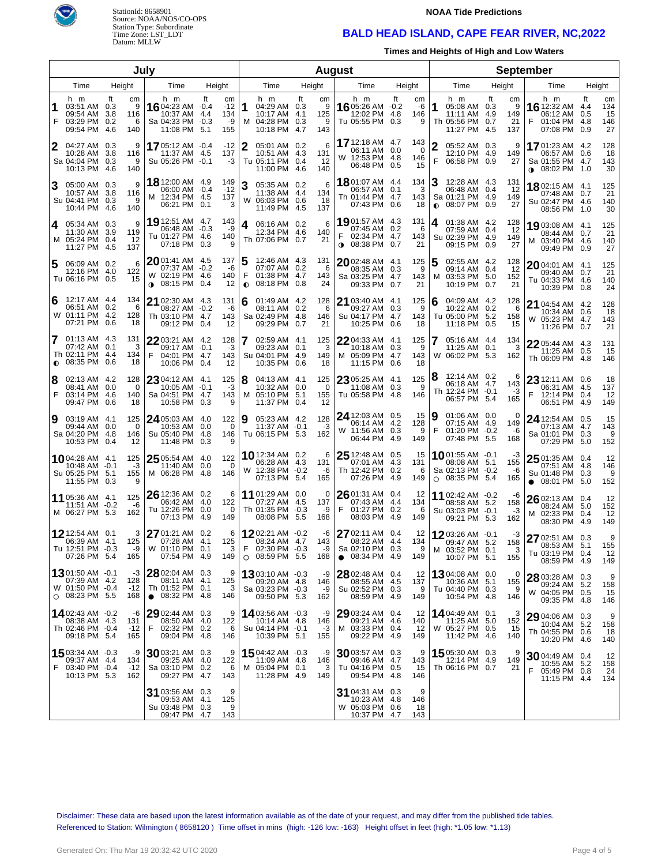

StationId: 8658901 Source: NOAA/NOS/CO-OPS Station Type: Subordinate Time Zone: LST\_LDT Datum: MLLW

#### **NOAA Tide Predictions**

## **BALD HEAD ISLAND, CAPE FEAR RIVER, NC,2022**

**Times and Heights of High and Low Waters**

| July           |                                                                            |                                 |                           |                                                                                 |               |                                 |                |                                                                          |        |                            |      |                                                                              |            | <b>August</b>                |           |                                                                      |                   |                             |                                                                                  |        |                              |
|----------------|----------------------------------------------------------------------------|---------------------------------|---------------------------|---------------------------------------------------------------------------------|---------------|---------------------------------|----------------|--------------------------------------------------------------------------|--------|----------------------------|------|------------------------------------------------------------------------------|------------|------------------------------|-----------|----------------------------------------------------------------------|-------------------|-----------------------------|----------------------------------------------------------------------------------|--------|------------------------------|
| Time<br>Height |                                                                            |                                 | Time                      | Height                                                                          |               |                                 | Time           |                                                                          | Height |                            | Time |                                                                              | Height     |                              | Time      |                                                                      | Height            | Time                        |                                                                                  | Height |                              |
| F              | h m<br>03:51 AM 0.3<br>09:54 AM<br>03:29 PM<br>09:54 PM                    | ft<br>3.8<br>0.2<br>-4.6<br>140 | сm<br>9<br>116<br>6       | h m<br>1604:23 AM -0.4<br>10:37 AM<br>Sa 04:33 PM -0.3<br>11:08 PM 5.1          | ft<br>4.4     | cm<br>$-12$<br>134<br>-9<br>155 | 1              | h m<br>04:29 AM 0.3<br>10:17 AM 4.1<br>M 04:28 PM 0.3<br>10:18 PM 4.7    | ft     | сm<br>9<br>125<br>9<br>143 |      | h m<br>16 05:26 AM -0.2<br>12:02 PM<br>Tu 05:55 PM 0.3                       | ft<br>-4.8 | cm<br>-6<br>146<br>9         | 1         | h m<br>05:08 AM 0.3<br>11:11 AM<br>Th 05:56 PM<br>11:27 PM 4.5       | ft<br>-4.9<br>0.7 | сm<br>9<br>149<br>21<br>137 | h m<br>16 12:32 AM 4.4<br>06:12 AM 0.5<br>01:04 PM 4.8<br>07:08 PM 0.9           | ft     | cm<br>134<br>15<br>146<br>27 |
| 2              | 04:27 AM 0.3<br>10:28 AM<br>Sa 04:04 PM<br>10:13 PM 4.6                    | 3.8<br>0.3<br>140               | 9<br>116<br>9             | 1705:12 AM -0.4<br>11:37 AM 4.5<br>Su 05:26 PM -0.1                             |               | $-12$<br>137<br>$-3$            | 2              | 05:01 AM 0.2<br>10:51 AM 4.3<br>Tu 05:11 PM 0.4<br>11:00 PM 4.6          |        | 6<br>131<br>-12<br>140     |      | 17 12:18 AM 4.7<br>06:11 AM 0.0<br>W 12:53 PM 4.8<br>06:48 PM 0.5            |            | 143<br>$\Omega$<br>146<br>15 | 2<br>F    | 05:52 AM 0.3<br>12:10 PM 4.9<br>06:58 PM 0.9                         |                   | 9<br>149<br>27              | 1701:23 AM 4.2<br>06:57 AM 0.6<br>Sa 01:55 PM 4.7<br>$\bullet$ 08:02 PM 1.0      |        | 128<br>18<br>143<br>30       |
|                | 05:00 AM 0.3<br>10:57 AM 3.8<br>Su 04:41 PM<br>10:44 PM 4.6                | 0.3                             | 9<br>116<br>9<br>140      | 18 12:00 AM 4.9<br>06:00 AM -0.4<br>M 12:34 PM 4.5<br>06:21 PM 0.1              |               | 149<br>$-12$<br>137<br>3        | 3              | 05:35 AM 0.2<br>11:38 AM 4.4<br>W 06:03 PM 0.6<br>11:49 PM 4.5           |        | 6<br>134<br>-18<br>137     |      | 1801:07 AM 4.4<br>06:57 AM 0.1<br>Th 01:44 PM 4.7<br>07:43 PM                | 0.6        | 134<br>3<br>143<br>18        | $\bullet$ | 12:28 AM 4.3<br>06:48 AM 0.4<br>Sa 01:21 PM 4.9<br>08:07 PM 0.9      |                   | 131<br>-12<br>149<br>27     | 1802:15 AM 4.1<br>07:48 AM 0.7<br>Su 02:47 PM 4.6<br>08:56 PM 1.0                |        | 125<br>21<br>140<br>30       |
| 4              | 05:34 AM 0.3<br>11:30 AM<br>M 05:24 PM 0.4<br>11:27 PM 4.5                 | - 3.9<br>119<br>137             | 9<br>-12                  | 19 12:51 AM 4.7<br>06:48 AM<br>Tu 01:27 PM 4.6<br>07:18 PM 0.3                  | $-0.3$        | 143<br>-9<br>140<br>9           | 4              | 06:16 AM 0.2<br>12:34 PM 4.6<br>Th 07:06 PM 0.7                          |        | 6<br>140<br>21             |      | 1901:57 AM 4.3<br>07:45 AM 0.2<br>02:34 PM 4.7<br>$0.08:38 \text{ PM}$       | 0.7        | 131<br>6<br>143<br>21        | 4         | 01:38 AM 4.2<br>07:59 AM<br>Su 02:39 PM 4.9<br>09:15 PM              | 0.4<br>0.9        | 128<br>12<br>149<br>27      | 19 03:08 AM 4.1<br>08:44 AM 0.7<br>M 03:40 PM 4.6<br>09:49 PM 0.9                |        | 125<br>21<br>140<br>27       |
| 5              | 06:09 AM 0.2<br>12:16 PM<br>Tu 06:16 PM 0.5                                | -4.0                            | 6<br>122<br>15            | 2001:41 AM 4.5<br>07:37 AM -0.2<br>W 02:19 PM 4.6<br>08:15 PM 0.4<br>$\bullet$  |               | 137<br>-6<br>140<br>12          | F<br>$\bullet$ | 12:46 AM 4.3<br>07:07 AM 0.2<br>01:38 PM 4.7<br>08:18 PM                 | 0.8    | 131<br>6<br>143<br>24      |      | $20$ 02:48 AM 4.1<br>08:35 AM<br>Sa 03:25 PM 4.7<br>09:33 PM                 | 0.3<br>0.7 | 125<br>9<br>143<br>21        | 5<br>м    | 02:55 AM 4.2<br>09:14 AM<br>03:53 PM 5.0<br>10:19 PM                 | 0.4<br>0.7        | 128<br>12<br>152<br>21      | $2004:01$ AM $4.1$<br>09:40 AM 0.7<br>Tu 04:33 PM 4.6<br>10:39 PM 0.8            |        | 125<br>21<br>140<br>24       |
| 6              | 12:17 AM 4.4<br>06:51 AM<br>W 01:11 PM 4.2<br>07:21 PM                     | 0.2<br>0.6                      | 134<br>6<br>128<br>18     | <b>21</b> 02:30 AM 4.3<br>08:27 AM -0.2<br>Th 03:10 PM 4.7<br>09:12 PM          | 0.4           | 131<br>-6<br>143<br>12          | 6              | 01:49 AM 4.2<br>08:11 AM 0.2<br>Sa 02:49 PM 4.8<br>09:29 PM              | 0.7    | 128<br>6<br>146<br>21      |      | 21 03:40 AM 4.1<br>09:27 AM<br>Su 04:17 PM 4.7<br>10:25 PM                   | 0.3<br>0.6 | 125<br>9<br>143<br>18        | 6         | 04:09 AM 4.2<br>10:22 AM<br>Tu 05:00 PM<br>11:18 PM                  | 0.2<br>5.2<br>0.5 | 128<br>6<br>158<br>15       | 21 04:54 AM 4.2<br>10:34 AM 0.6<br>W 05:23 PM 4.7<br>11:26 PM 0.7                |        | 128<br>18<br>143<br>21       |
| $\bullet$      | 01:13 AM 4.3<br>07:42 AM<br>Th 02:11 PM 4.4<br>08:35 PM                    | 131<br>0.1<br>0.6               | 3<br>134<br>18            | $2203:21$ AM 4.2<br>09:17 AM -0.1<br>04:01 PM 4.7<br>F<br>10:06 PM              | 0.4           | 128<br>$-3$<br>143<br>12        |                | $02:59$ AM $4.1$<br>09:23 AM 0.1<br>Su 04:01 PM 4.9<br>10:35 PM          | 0.6    | 125<br>3<br>149<br>18      |      | 22 04:33 AM 4.1<br>10:18 AM<br>M 05:09 PM 4.7<br>11:15 PM                    | 0.3<br>0.6 | 125<br>9<br>143<br>18        | W         | 05:16 AM 4.4<br>11:25 AM<br>06:02 PM 5.3                             | 0.1               | 134<br>3<br>162             | 22 05:44 AM 4.3<br>11:25 AM 0.5<br>Th 06:09 PM 4.8                               |        | 131<br>15<br>146             |
| 8<br>F         | 02:13 AM 4.2<br>08:41 AM<br>03:14 PM<br>09:47 PM                           | 0.0<br>-4.6<br>0.6              | 128<br>0<br>140<br>18     | $2304:12$ AM $4.1$<br>10:05 AM<br>Sa 04:51 PM 4.7<br>10:58 PM                   | $-0.1$<br>0.3 | 125<br>-3<br>143<br>9           | 18<br>M        | 04:13 AM 4.1<br>10:32 AM 0.0<br>05:10 PM 5.1<br>11:37 PM                 | 0.4    | 125<br>0<br>155<br>12      |      | 23 05:25 AM 4.1<br>11:08 AM 0.3<br>Tu 05:58 PM 4.8                           |            | 125<br>9<br>146              |           | 12:14 AM 0.2<br>06:18 AM 4.7<br>Th 12:24 PM -0.1<br>06:57 PM 5.4     |                   | 6<br>143<br>-3<br>165       | 23 12:11 AM 0.6<br>06:31 AM 4.5<br>F<br>12:14 PM 0.4<br>06:51 PM 4.9             |        | 18<br>137<br>12<br>149       |
| 9              | 03:19 AM 4.1<br>09:44 AM<br>Sa 04:20 PM 4.8<br>10:53 PM                    | - 0.0<br>0.4                    | 125<br>0<br>146<br>12     | 24 05:03 AM 4.0<br>10:53 AM<br>Su 05:40 PM 4.8<br>11:48 PM                      | 0.0<br>0.3    | 122<br>0<br>146<br>9            | 19             | 05:23 AM 4.2<br>11:37 AM -0.1<br>Tu 06:15 PM 5.3                         |        | 128<br>-3<br>162           |      | 24 12:03 AM 0.5<br>06:14 AM 4.2<br>W 11:56 AM 0.3<br>06:44 PM 4.9            |            | 15<br>128<br>9<br>149        | 9<br>F    | 01:06 AM 0.0<br>07:15 AM 4.9<br>01:20 PM -0.2<br>07:48 PM 5.5        |                   | 0<br>149<br>-6<br>168       | <b>24</b> 12:54 AM 0.5<br>07:13 AM 4.7<br>Sa 01:01 PM 0.3<br>07:29 PM 5.0        |        | 15<br>143<br>9<br>152        |
|                | 1004:28 AM 4.1<br>$10:48$ AM $-0.1$<br>Su 05:25 PM 5.1<br>11:55 PM         | 0.3                             | 125<br>-3<br>155          | $25$ 05:54 AM 4.0<br>11:40 AM<br>M 06:28 PM                                     | 0.0<br>-4.8   | 122<br>0<br>146                 |                | 10 12:34 AM 0.2<br>06:28 AM 4.3<br>W 12:38 PM -0.2<br>07:13 PM 5.4       |        | 6<br>131<br>-6<br>165      |      | $2512:48$ AM 0.5<br>07:01 AM 4.3<br>Th 12:42 PM 0.2<br>07:26 PM 4.9          |            | 15<br>131<br>6<br>149        |           | 1001:55 AM -0.1<br>08:08 AM<br>Sa 02:13 PM -0.2<br>$O$ 08:35 PM 5.4  | 5.1               | -3<br>155<br>-6<br>165      | $2501:35$ AM 0.4<br>07:51 AM 4.8<br>Su 01:48 PM 0.3<br>08:01 PM 5.0<br>$\bullet$ |        | 12<br>146<br>9<br>152        |
|                | 11 05:36 AM 4.1<br>11:51 AM<br>M 06:27 PM 5.3                              | $-0.2$                          | 125<br>-6<br>162          | 26 12:36 AM 0.2<br>06:42 AM 4.0<br>Tu 12:26 PM 0.0<br>07:13 PM                  | -4.9          | 6<br>122<br>0<br>149            |                | 11 01:29 AM 0.0<br>07:27 AM 4.5<br>Th 01:35 PM -0.3<br>08:08 PM 5.5      |        | 0<br>137<br>-9<br>168      | F    | 26 01:31 AM 0.4<br>07:43 AM 4.4<br>01:27 PM 0.2<br>08:03 PM 4.9              |            | 12<br>134<br>6<br>149        |           | 11 02:42 AM -0.2<br>08:58 AM 5.2<br>Su 03:03 PM -0.1<br>09:21 PM 5.3 |                   | -6<br>158<br>-3<br>162      | 26 02:13 AM 0.4<br>08:24 AM 5.0<br>M 02:33 PM 0.4<br>08:30 PM 4.9                |        | 12<br>152<br>12<br>149       |
|                | 12 12:54 AM 0.1<br>06:39 AM<br>Tu 12:51 PM -0.3<br>07:26 PM 5.4            | -4.1                            | 3<br>125<br>-9<br>165     | $2701:21$ AM 0.2<br>07:28 AM 4.1<br>W 01:10 PM 0.1<br>07:54 PM 4.9              |               | 6<br>125<br>3<br>149            | F              | 1202:21 AM -0.2<br>08:24 AM 4.7<br>02:30 PM -0.3<br>$O$ 08:59 PM 5.5     |        | -6<br>143<br>-9<br>168     |      | 27 02:11 AM 0.4<br>08:22 AM 4.4<br>Sa 02:10 PM 0.3<br>$\bullet$ 08:34 PM 4.9 |            | 12<br>134<br>9<br>149        |           | 12 03:26 AM -0.1<br>09:47 AM 5.2<br>M 03:52 PM 0.1<br>10:07 PM 5.1   |                   | -3<br>158<br>3<br>155       | 27 02:51 AM 0.3<br>08:53 AM 5.1<br>Tu 03:19 PM 0.4<br>08:59 PM 4.9               |        | 9<br>155<br>12<br>149        |
|                | 1301:50 AM -0.1<br>07:39 AM 4.2<br>W 01:50 PM -0.4<br>$\circ$ 08:23 PM 5.5 | 128                             | -3<br>$-12$<br>168        | 28 02:04 AM 0.3<br>08:11 AM 4.1<br>Th 01:52 PM 0.1<br>08:32 PM 4.8<br>$\bullet$ |               | 9<br>125<br>3<br>146            |                | $13$ 03:10 AM $-0.3$<br>09:20 AM 4.8<br>Sa 03:23 PM -0.3<br>09:50 PM 5.3 |        | -9<br>146<br>-9<br>162     |      | 28 02:48 AM 0.4<br>08:55 AM 4.5<br>Su 02:52 PM 0.3<br>08:59 PM 4.9           |            | 12<br>137<br>9<br>149        |           | 13,04:08 AM 0.0<br>10:36 AM<br>Tu 04:40 PM 0.3<br>10:54 PM 4.8       | 5.1               | 0<br>155<br>9<br>146        | 28 03:28 AM 0.3<br>09:24 AM 5.2<br>W 04:05 PM 0.5<br>09:35 PM 4.8                |        | 9<br>158<br>15<br>146        |
|                | 14 02:43 AM -0.2<br>08:38 AM 4.3<br>Th 02:46 PM -0.4<br>09:18 PM 5.4       | 131<br>165                      | -6<br>$-12$               | $29$ 02:44 AM 0.3<br>08:50 AM 4.0<br>F<br>02:32 PM 0.2<br>09:04 PM 4.8          |               | 9<br>122<br>6<br>146            |                | 14 03:56 AM -0.3<br>10:14 AM 4.8<br>Su 04:14 PM -0.1<br>10:39 PM 5.1     |        | -9<br>146<br>$-3$<br>155   |      | $2903:24$ AM $0.4$<br>09:21 AM 4.6<br>M 03:33 PM 0.4<br>09:22 PM 4.9         |            | 12<br>140<br>12<br>149       |           | 14 04:49 AM 0.1<br>11:25 AM<br>W 05:27 PM 0.5<br>11:42 PM 4.6        | 5.0               | З<br>152<br>15<br>140       | 29 04:06 AM 0.3<br>10:04 AM 5.2<br>Th 04:55 PM 0.6<br>10:20 PM 4.6               |        | 9<br>158<br>18<br>140        |
| F.             | 15 03:34 AM -0.3<br>09:37 AM 4.4<br>03:40 PM -0.4<br>10:13 PM 5.3          |                                 | -9<br>134<br>$-12$<br>162 | 3003:21 AM 0.3<br>09:25 AM 4.0<br>Sa 03:10 PM 0.2<br>09:27 PM 4.7               |               | 9<br>122<br>6<br>143            |                | 1504:42 AM -0.3<br>11:09 AM 4.8<br>M 05:04 PM 0.1<br>11:28 PM 4.9        |        | -9<br>146<br>3<br>149      |      | 3003:57 AM 0.3<br>09:46 AM 4.7<br>Tu 04:16 PM 0.5<br>09:54 PM 4.8            |            | 9<br>143<br>15<br>146        |           | 15 05:30 AM 0.3<br>12:14 PM 4.9<br>Th 06:16 PM 0.7                   |                   | 9<br>149<br>21              | 3004:49 AM 0.4<br>10:55 AM 5.2<br>05:49 PM 0.8<br>F<br>11:15 PM 4.4              |        | 12<br>158<br>24<br>134       |
|                |                                                                            |                                 |                           | 31 03:56 AM 0.3<br>09:53 AM 4.1<br>Su 03:48 PM 0.3<br>09:47 PM 4.7              |               | 9<br>125<br>9<br>143            |                |                                                                          |        |                            |      | $31$ 04:31 AM 0.3<br>10:23 AM 4.8<br>W 05:03 PM 0.6<br>10:37 PM 4.7          |            | 9<br>146<br>18<br>143        |           |                                                                      |                   |                             |                                                                                  |        |                              |